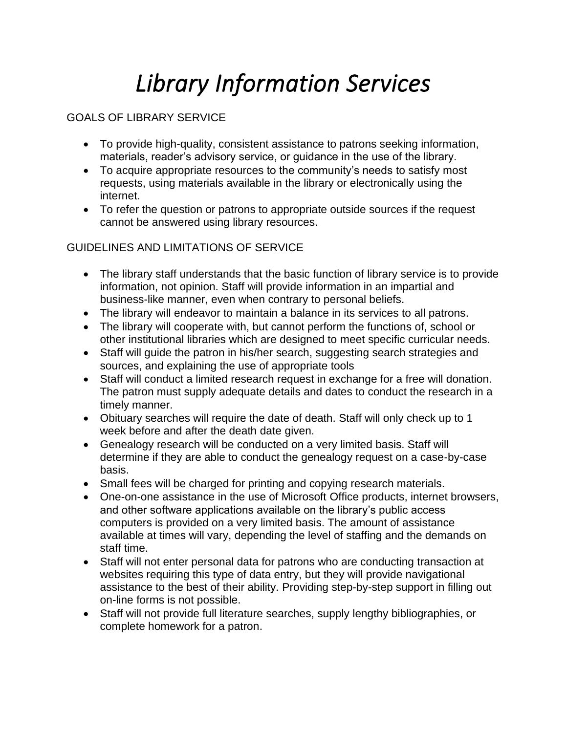# *Library Information Services*

## GOALS OF LIBRARY SERVICE

- To provide high-quality, consistent assistance to patrons seeking information, materials, reader's advisory service, or guidance in the use of the library.
- To acquire appropriate resources to the community's needs to satisfy most requests, using materials available in the library or electronically using the internet.
- To refer the question or patrons to appropriate outside sources if the request cannot be answered using library resources.

#### GUIDELINES AND LIMITATIONS OF SERVICE

- The library staff understands that the basic function of library service is to provide information, not opinion. Staff will provide information in an impartial and business-like manner, even when contrary to personal beliefs.
- The library will endeavor to maintain a balance in its services to all patrons.
- The library will cooperate with, but cannot perform the functions of, school or other institutional libraries which are designed to meet specific curricular needs.
- Staff will guide the patron in his/her search, suggesting search strategies and sources, and explaining the use of appropriate tools
- Staff will conduct a limited research request in exchange for a free will donation. The patron must supply adequate details and dates to conduct the research in a timely manner.
- Obituary searches will require the date of death. Staff will only check up to 1 week before and after the death date given.
- Genealogy research will be conducted on a very limited basis. Staff will determine if they are able to conduct the genealogy request on a case-by-case basis.
- Small fees will be charged for printing and copying research materials.
- One-on-one assistance in the use of Microsoft Office products, internet browsers, and other software applications available on the library's public access computers is provided on a very limited basis. The amount of assistance available at times will vary, depending the level of staffing and the demands on staff time.
- Staff will not enter personal data for patrons who are conducting transaction at websites requiring this type of data entry, but they will provide navigational assistance to the best of their ability. Providing step-by-step support in filling out on-line forms is not possible.
- Staff will not provide full literature searches, supply lengthy bibliographies, or complete homework for a patron.